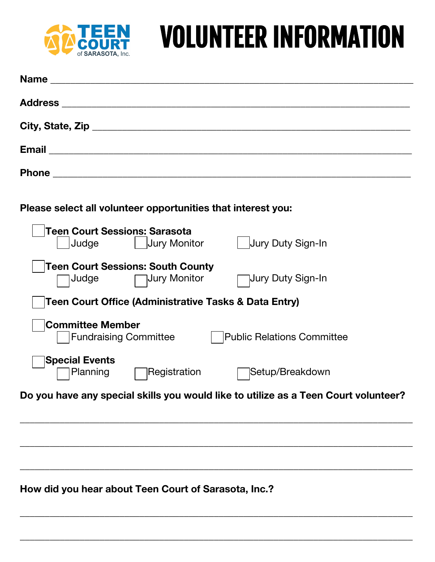

## VOLUNTEER INFORMATION

| Please select all volunteer opportunities that interest you:                                 |
|----------------------------------------------------------------------------------------------|
| Teen Court Sessions: Sarasota<br>Judge   Jury Monitor<br>  Jury Duty Sign-In                 |
| <b>Teen Court Sessions: South County</b><br>Judge Jury Monitor<br>□ Jury Duty Sign-In        |
| Teen Court Office (Administrative Tasks & Data Entry)                                        |
| <b>Committee Member</b><br><b>Fundraising Committee</b><br><b>Public Relations Committee</b> |
| <b>Special Events</b><br>Planning<br>Registration<br> Setup/Breakdown                        |
| Do you have any special skills you would like to utilize as a Teen Court volunteer?          |
|                                                                                              |
|                                                                                              |
|                                                                                              |
| How did you hear about Teen Court of Sarasota, Inc.?                                         |

\_\_\_\_\_\_\_\_\_\_\_\_\_\_\_\_\_\_\_\_\_\_\_\_\_\_\_\_\_\_\_\_\_\_\_\_\_\_\_\_\_\_\_\_\_\_\_\_\_\_\_\_\_\_\_\_\_\_\_\_\_\_\_\_\_\_\_\_\_\_\_\_\_\_\_\_\_\_\_

\_\_\_\_\_\_\_\_\_\_\_\_\_\_\_\_\_\_\_\_\_\_\_\_\_\_\_\_\_\_\_\_\_\_\_\_\_\_\_\_\_\_\_\_\_\_\_\_\_\_\_\_\_\_\_\_\_\_\_\_\_\_\_\_\_\_\_\_\_\_\_\_\_\_\_\_\_\_\_